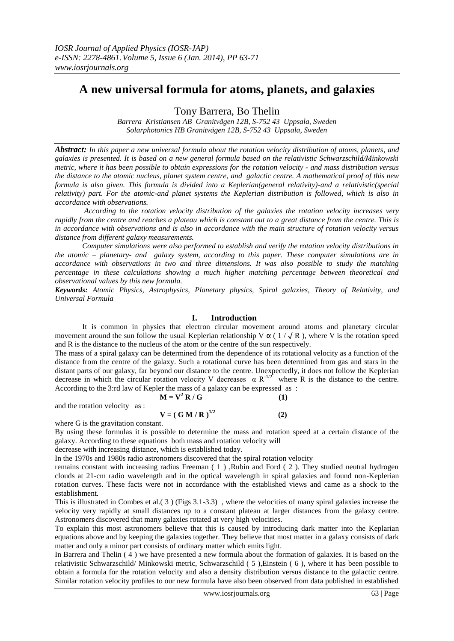# **A new universal formula for atoms, planets, and galaxies**

Tony Barrera, Bo Thelin

*Barrera Kristiansen AB Granitvägen 12B, S-752 43 Uppsala, Sweden Solarphotonics HB Granitvägen 12B, S-752 43 Uppsala, Sweden*

*Abstract: In this paper a new universal formula about the rotation velocity distribution of atoms, planets, and galaxies is presented. It is based on a new general formula based on the relativistic Schwarzschild/Minkowski metric, where it has been possible to obtain expressions for the rotation velocity - and mass distribution versus the distance to the atomic nucleus, planet system centre, and galactic centre. A mathematical proof of this new formula is also given. This formula is divided into a Keplerian(general relativity)-and a relativistic(special relativity) part. For the atomic-and planet systems the Keplerian distribution is followed, which is also in accordance with observations.*

*According to the rotation velocity distribution of the galaxies the rotation velocity increases very rapidly from the centre and reaches a plateau which is constant out to a great distance from the centre. This is in accordance with observations and is also in accordance with the main structure of rotation velocity versus distance from different galaxy measurements.*

*Computer simulations were also performed to establish and verify the rotation velocity distributions in the atomic – planetary- and galaxy system, according to this paper. These computer simulations are in accordance with observations in two and three dimensions. It was also possible to study the matching percentage in these calculations showing a much higher matching percentage between theoretical and observational values by this new formula.* 

*Keywords: Atomic Physics, Astrophysics, Planetary physics, Spiral galaxies, Theory of Relativity, and Universal Formula*

# **I. Introduction**

It is common in physics that electron circular movement around atoms and planetary circular movement around the sun follow the usual Keplerian relationship V  $\alpha$  (1/ $\sqrt{R}$ ), where V is the rotation speed and R is the distance to the nucleus of the atom or the centre of the sun respectively.

The mass of a spiral galaxy can be determined from the dependence of its rotational velocity as a function of the distance from the centre of the galaxy. Such a rotational curve has been determined from gas and stars in the distant parts of our galaxy, far beyond our distance to the centre. Unexpectedly, it does not follow the Keplerian decrease in which the circular rotation velocity V decreases  $\alpha R^{-1/2}$  where R is the distance to the centre. According to the 3:rd law of Kepler the mass of a galaxy can be expressed as :

$$
\mathbf{M} = \mathbf{V}^2 \mathbf{R} / \mathbf{G} \tag{1}
$$

and the rotation velocity as :

where G is the gravitation constant.

By using these formulas it is possible to determine the mass and rotation speed at a certain distance of the galaxy. According to these equations both mass and rotation velocity will

 **(2)**

decrease with increasing distance, which is established today.

In the 1970s and 1980s radio astronomers discovered that the spiral rotation velocity

 $V = ( G M / R )^{1/2}$ 

remains constant with increasing radius Freeman ( 1 ) ,Rubin and Ford ( 2 ). They studied neutral hydrogen clouds at 21-cm radio wavelength and in the optical wavelength in spiral galaxies and found non-Keplerian rotation curves. These facts were not in accordance with the established views and came as a shock to the establishment.

This is illustrated in Combes et al.( 3 ) (Figs 3.1-3.3) , where the velocities of many spiral galaxies increase the velocity very rapidly at small distances up to a constant plateau at larger distances from the galaxy centre. Astronomers discovered that many galaxies rotated at very high velocities.

To explain this most astronomers believe that this is caused by introducing dark matter into the Keplarian equations above and by keeping the galaxies together. They believe that most matter in a galaxy consists of dark matter and only a minor part consists of ordinary matter which emits light.

In Barrera and Thelin ( 4 ) we have presented a new formula about the formation of galaxies. It is based on the relativistic Schwarzschild/ Minkowski metric, Schwarzschild ( 5 ),Einstein ( 6 ), where it has been possible to obtain a formula for the rotation velocity and also a density distribution versus distance to the galactic centre. Similar rotation velocity profiles to our new formula have also been observed from data published in established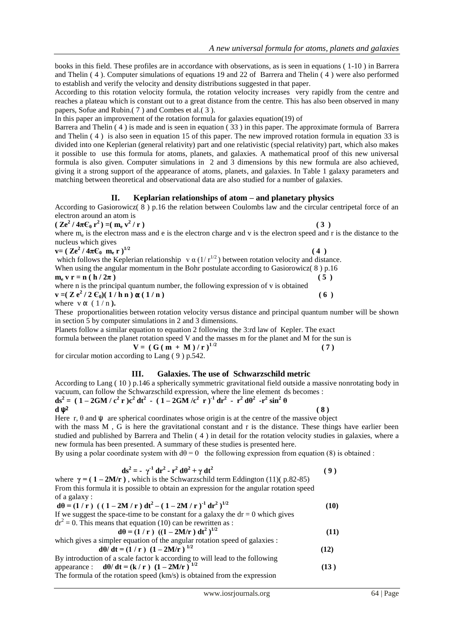books in this field. These profiles are in accordance with observations, as is seen in equations ( 1-10 ) in Barrera and Thelin ( 4 ). Computer simulations of equations 19 and 22 of Barrera and Thelin ( 4 ) were also performed to establish and verify the velocity and density distributions suggested in that paper.

According to this rotation velocity formula, the rotation velocity increases very rapidly from the centre and reaches a plateau which is constant out to a great distance from the centre. This has also been observed in many papers, Sofue and Rubin.( 7 ) and Combes et al.( 3 ).

In this paper an improvement of the rotation formula for galaxies equation(19) of

Barrera and Thelin ( 4 ) is made and is seen in equation ( 33 ) in this paper. The approximate formula of Barrera and Thelin ( 4 ) is also seen in equation 15 of this paper. The new improved rotation formula in equation 33 is divided into one Keplerian (general relativity) part and one relativistic (special relativity) part, which also makes it possible to use this formula for atoms, planets, and galaxies. A mathematical proof of this new universal formula is also given. Computer simulations in 2 and 3 dimensions by this new formula are also achieved, giving it a strong support of the appearance of atoms, planets, and galaxies. In Table 1 galaxy parameters and matching between theoretical and observational data are also studied for a number of galaxies.

# **II. Keplarian relationships of atom – and planetary physics**

According to Gasiorowicz( $8$ ) p.16 the relation between Coulombs law and the circular centripetal force of an electron around an atom is

$$
(\mathbf{Z}e^2/4\pi\mathbf{C}_0\mathbf{r}^2)=(\mathbf{m}_e\mathbf{v}^2/\mathbf{r})
$$
\n(3)

where  $m_e$  is the electron mass and e is the electron charge and v is the electron speed and r is the distance to the nucleus which gives

 $\mathbf{v} = (\mathbf{Z} \mathbf{e}^2 / 4\pi \mathbf{C}_0 \mathbf{m}_e \mathbf{r})^{1/2}$  (4)

which follows the Keplerian relationship v  $\alpha$  (1/ $r^{1/2}$ ) between rotation velocity and distance. When using the angular momentum in the Bohr postulate according to Gasiorowicz(8) p.16

$$
\mathbf{m}_{\mathbf{e}} \mathbf{v} \mathbf{r} = \mathbf{n} (\mathbf{h}/2\pi) \tag{5}
$$

where n is the principal quantum number, the following expression of v is obtained  $\mathbf{v} = (\mathbf{Z} \mathbf{e}^2 / 2 \mathbf{C}_0)(1/\mathbf{h} \mathbf{n}) \mathbf{\alpha} (1/\mathbf{n})$  (6)

where  $v \alpha$  ( $1/n$ ).

These proportionalities between rotation velocity versus distance and principal quantum number will be shown in section 5 by computer simulations in 2 and 3 dimensions.

Planets follow a similar equation to equation 2 following the 3:rd law of Kepler. The exact

formula between the planet rotation speed V and the masses m for the planet and M for the sun is

 $V = (G (m + M) / r)^{1/2}$  $(7)$ for circular motion according to Lang ( 9 ) p.542.

# **III. Galaxies. The use of Schwarzschild metric**

According to Lang ( 10 ) p.146 a spherically symmetric gravitational field outside a massive nonrotating body in vacuum, can follow the Schwarzschild expression, where the line element ds becomes :

 $ds^{2} = (1 - 2GM/c^{2} r)c^{2} dt^{2} - (1 - 2GM/c^{2} r)^{1} dr^{2} - r^{2} d\theta^{2} - r^{2} sin^{2} \theta$ **d**  $ψ<sup>2</sup>$  (8)

Here r,  $\theta$  and  $\psi$  are spherical coordinates whose origin is at the centre of the massive object with the mass M, G is here the gravitational constant and r is the distance. These things have earlier been studied and published by Barrera and Thelin ( 4 ) in detail for the rotation velocity studies in galaxies, where a new formula has been presented. A summary of these studies is presented here.

By using a polar coordinate system with  $d\theta = 0$  the following expression from equation (8) is obtained :

$$
ds^{2} = -\gamma^{1} dr^{2} - r^{2} d\theta^{2} + \gamma dt^{2}
$$
 (9)  
where  $\gamma = (1 - 2M/r)$  which is the Schwarzschild term Eddington (11)( p. 82-85)

where **γ = ( 1 – 2M/r )** , which is the Schwarzschild term Eddington (11)( p.82-85) From this formula it is possible to obtain an expression for the angular rotation speed of a galaxy :

**d** $\theta = (1/r)$   $((1-2M/r) d t^2 - (1-2M/r) d r^2)$ <sup>1/2</sup>  **(10)** If we suggest the space-time to be constant for a galaxy the  $dr = 0$  which gives  $dr<sup>2</sup> = 0$ . This means that equation (10) can be rewritten as : **dθ** =  $(1 / r)$   $((1 – 2M/r) dt<sup>2</sup>)<sup>1/2</sup>$  $(11)$ which gives a simpler equation of the angular rotation speed of galaxies : **d**θ/ **dt** =  $(1 / r) (1 - 2M/r)^{1/2}$  $(12)$ By introduction of a scale factor k according to will lead to the following appearance : **dθ/ dt = (k / r )**  $(1 - 2M/r)^{1/2}$ **(13 )**

The formula of the rotation speed (km/s) is obtained from the expression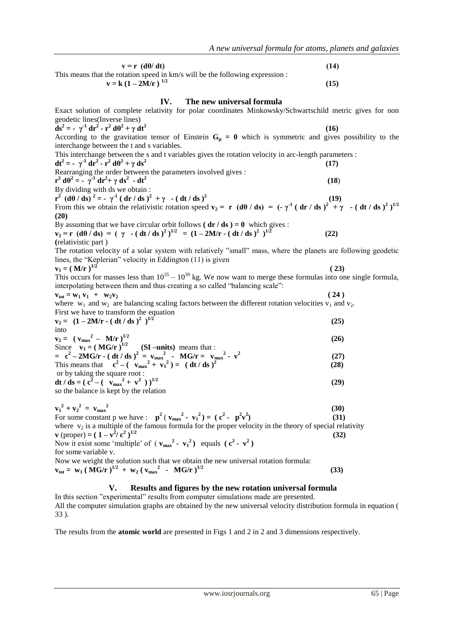| $v = r$ (d $\theta$ / dt)                                                                                                                                                                                                                                                                     | (14) |
|-----------------------------------------------------------------------------------------------------------------------------------------------------------------------------------------------------------------------------------------------------------------------------------------------|------|
| This means that the rotation speed in km/s will be the following expression :<br>$v = k (1 - 2M/r)^{1/2}$                                                                                                                                                                                     | (15) |
| IV.<br>The new universal formula                                                                                                                                                                                                                                                              |      |
| Exact solution of complete relativity for polar coordinates Minkowsky/Schwartschild metric gives for non<br>geodetic lines(Inverse lines)                                                                                                                                                     |      |
| $ds^2 = -\gamma^1 dr^2 - r^2 d\theta^2 + \gamma dt^2$                                                                                                                                                                                                                                         | (16) |
| According to the gravitation tensor of Einstein $G_{\mu} = 0$ which is symmetric and gives possibility to the<br>interchange between the t and s variables.                                                                                                                                   |      |
| This interchange between the s and t variables gives the rotation velocity in arc-length parameters :<br>$dt^2 = -\gamma^1 dr^2 - r^2 d\theta^2 + \gamma ds^2$                                                                                                                                | (17) |
| Rearranging the order between the parameters involved gives :                                                                                                                                                                                                                                 |      |
| $r^2 d\theta^2 = -\gamma^1 dr^2 + \gamma ds^2 - dt^2$                                                                                                                                                                                                                                         | (18) |
| By dividing with ds we obtain :                                                                                                                                                                                                                                                               |      |
| $r^{2}$ (d $\theta$ / ds) <sup>2</sup> = - $\gamma^{1}$ ( dr / ds ) <sup>2</sup> + $\gamma$ - ( dt / ds ) <sup>2</sup><br>From this we obtain the relativistic rotation speed $v_2 = r$ (d0 / ds) = (- $\gamma^1$ (dr / ds) <sup>2</sup> + $\gamma$ - (dt / ds) <sup>2</sup> ) <sup>1/2</sup> | (19) |
| (20)                                                                                                                                                                                                                                                                                          |      |
|                                                                                                                                                                                                                                                                                               |      |
| By assuming that we have circular orbit follows ( $dr/ds$ ) = 0 which gives :<br>$v_2 = r (d\theta / ds) = (\gamma - (dt/ds)^2)^{1/2} = (1 - 2M/r - (dt/ds)^2)^{1/2}$                                                                                                                         | (22) |
| (relativistic part)                                                                                                                                                                                                                                                                           |      |
| The rotation velocity of a solar system with relatively "small" mass, where the planets are following geodetic                                                                                                                                                                                |      |
| lines, the "Keplerian" velocity in Eddington (11) is given                                                                                                                                                                                                                                    |      |
| $v_1 = (M/r)^{1/2}$                                                                                                                                                                                                                                                                           | (23) |
| This occurs for masses less than $10^{35} - 10^{39}$ kg. We now want to merge these formulas into one single formula,<br>interpolating between them and thus creating a so called "balancing scale":                                                                                          |      |
| $v_{tot} = w_1 v_1 + w_2 v_2$                                                                                                                                                                                                                                                                 | (24) |
| where $w_1$ and $w_2$ are balancing scaling factors between the different rotation velocities $v_1$ and $v_2$ .<br>First we have to transform the equation                                                                                                                                    |      |
| $v_2 = (1 - 2M/r - ( dt / ds )^2 )^{1/2}$                                                                                                                                                                                                                                                     | (25) |
| into                                                                                                                                                                                                                                                                                          |      |
| $v_2 = (v_{max}^2 - M/r)^{1/2}$                                                                                                                                                                                                                                                               | (26) |
| Since $v_1 = (MG/r)^{1/2}$ (SI-units) means that :                                                                                                                                                                                                                                            |      |
| = $c^2 - 2MG/r - ( dt / ds )^2 = v_{max}^2 - MG/r = v_{max}^2 - v^2$<br>This means that $c^2 - (v_{max}^2 + v_1^2) = ( dt / ds )^2$                                                                                                                                                           | (27) |
|                                                                                                                                                                                                                                                                                               | (28) |
| or by taking the square root:                                                                                                                                                                                                                                                                 |      |
| dt / ds = $(c^2 - (-v_{max}^2 + v^2))^{1/2}$                                                                                                                                                                                                                                                  | (29) |
| so the balance is kept by the relation                                                                                                                                                                                                                                                        |      |
| $v_1^2 + v_2^2 = v_{max}^2$                                                                                                                                                                                                                                                                   | (30) |
| For some constant p we have : $\mathbf{p}^2$ ( $\mathbf{v_{max}}^2$ - $\mathbf{v_1}^2$ ) = ( $\mathbf{c}^2$ - $\mathbf{p}^2\mathbf{v}^2$ )                                                                                                                                                    | (31) |
| where $v_2$ is a multiple of the famous formula for the proper velocity in the theory of special relativity                                                                                                                                                                                   |      |
| <b>v</b> (proper) = $(1 - v^2/c^2)^{1/2}$                                                                                                                                                                                                                                                     | (32) |
| Now it exist some 'multiple' of $(v_{max}^2 - v_1^2)$ equals $(c^2 - v^2)$                                                                                                                                                                                                                    |      |

for some variable v.

Now we weight the solution such that we obtain the new universal rotation formula:  $v_{\text{tot}} = w_1 (MG/r)^{1/2} + w_2 (v_{\text{max}}^2 - MG/r)^{1/2}$ (33)

# **V. Results and figures by the new rotation universal formula**

In this section "experimental" results from computer simulations made are presented. All the computer simulation graphs are obtained by the new universal velocity distribution formula in equation ( 33 ).

The results from the **atomic world** are presented in Figs 1 and 2 in 2 and 3 dimensions respectively.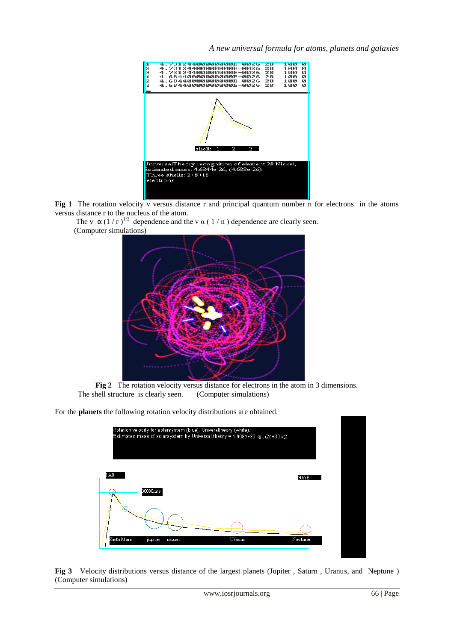*A new universal formula for atoms, planets and galaxies* 



**Fig 1** The rotation velocity v versus distance r and principal quantum number n for electrons in the atoms versus distance r to the nucleus of the atom.

The v  $\alpha$  (1 / r )<sup>1/2</sup> dependence and the v  $\alpha$  (1 / n ) dependence are clearly seen. (Computer simulations)



**Fig 2** The rotation velocity versus distance for electrons in the atom in 3 dimensions. The shell structure is clearly seen. (Computer simulations)

For the **planets** the following rotation velocity distributions are obtained.



**Fig 3** Velocity distributions versus distance of the largest planets (Jupiter , Saturn , Uranus, and Neptune ) (Computer simulations)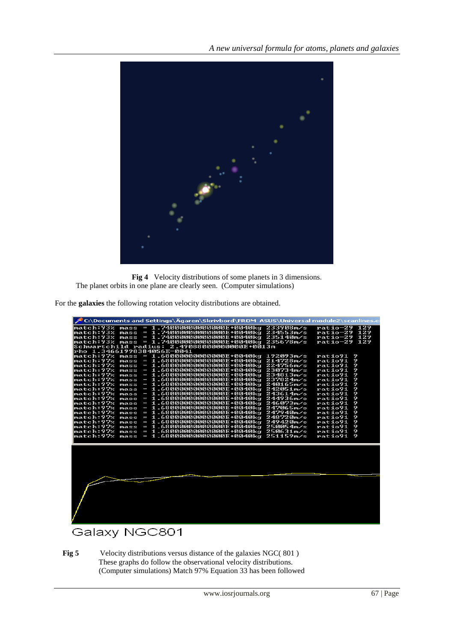

**Fig 4** Velocity distributions of some planets in 3 dimensions. The planet orbits in one plane are clearly seen. (Computer simulations)

For the **galaxies** the following rotation velocity distributions are obtained.

| C:\Documents and Settings\Agaren\Skrivbord\FROM_ASUS\Universal module2\scanlines.e                |                                   |        |
|---------------------------------------------------------------------------------------------------|-----------------------------------|--------|
| match:93% mass<br>$= 1.740000000000000E + 0040kg 234553m/s$                                       | ratio-29 129<br>ratio-29 129      |        |
| $= 1.74000000000000E+0040kg 235140m/s$<br>match:93%<br>mass                                       | ratio-29 129                      |        |
|                                                                                                   | ratio-29                          | -129   |
| Schwartchild radius: 2.49088000000000E+0013m                                                      |                                   |        |
| lrho 1.34661998384056E-0041                                                                       |                                   |        |
| 1.68000000000000000000040000<br>match:97%<br>mass<br>I                                            | 192093m/s<br>ratio91              | 9      |
| match:97%<br>$= 1.68000000000000000 + 0040kq$<br>mass                                             | 214728m/s<br>ratio91              | 9      |
| match:97%<br>$= 1.68000000000000000 + 0040kg$<br>mass                                             | 224756m/s<br>ratio91              | 9      |
| $= 1.680000000000000000 + 0040kq$<br>match:97%<br>mass                                            | 230734m/s<br>ratio91              | 9      |
| match:97%<br>$= 1.68000000000000E + 0040kg$<br>mass                                               | 234813m/s<br>ratio91              | 9      |
| $= 1.680000000000000000 + 0040kq$<br>match:97%<br>mass                                            | 237824m/s<br>ratio91              | 9      |
| $= 1.6800000000000000000400kq$<br>match:97%<br>mass                                               | 240165m/s<br>ratio91              | 9      |
| match:97%<br>$= 1.68000000000000E+0040kg$<br>mass                                                 | 242051m/s<br>ratio91              | 9      |
| match:97%<br>$= 1.680000000000000F + 0040kg$<br>mass                                              | 243614 m/s<br>ratio91             | 9      |
| $= 1.6800000000000000$ +0040kg<br>match:97%<br>mass                                               | 244936m/s<br>ratio91              | 9      |
| match:97%<br>$= 1.680000000000000F + 0040kg$<br>mass                                              | 246073m/s<br>ratio91              | 9      |
| match:97%<br>$= 1.6800000000000000000040kq$<br>mass<br>$= 1.6800000000000000000400k$<br>match:97% | 247065m/s<br>ratio91<br>247940m/s | 9<br>9 |
| mass<br>$= 1.6800000000000000000040kq$<br>match:97%                                               | ratio91<br>248720m/s<br>ratio91   | 9      |
| mass<br>$= 1.680000000000000000 + 0040kq$<br>match:97%<br>mass                                    | 249420m/s<br>ratio91              | 9      |
| $= 1.68000000000000E + 0040k\alpha$<br>match:97%<br>mass                                          | 250054m/s<br>ratio91              | 9      |
| match:97%<br>$= 1.680000000000000F + 0040kg$<br>mass                                              | 250631m/s<br>ratio91              | 9      |
| match:97%<br>$= 1.68000000000000E + 0040kg$<br>mass                                               | 251159m/s<br>ratio91              | 9      |
|                                                                                                   |                                   |        |
|                                                                                                   |                                   |        |
|                                                                                                   |                                   |        |
|                                                                                                   |                                   |        |
|                                                                                                   |                                   |        |
|                                                                                                   |                                   |        |
|                                                                                                   |                                   |        |
|                                                                                                   |                                   |        |
|                                                                                                   |                                   |        |
|                                                                                                   |                                   |        |
|                                                                                                   |                                   |        |
|                                                                                                   |                                   |        |
|                                                                                                   |                                   |        |
|                                                                                                   |                                   |        |
|                                                                                                   |                                   |        |
|                                                                                                   |                                   |        |
|                                                                                                   |                                   |        |

# Galaxy NGC801

 **Fig 5** Velocity distributions versus distance of the galaxies NGC( 801 ) These graphs do follow the observational velocity distributions. (Computer simulations) Match 97% Equation 33 has been followed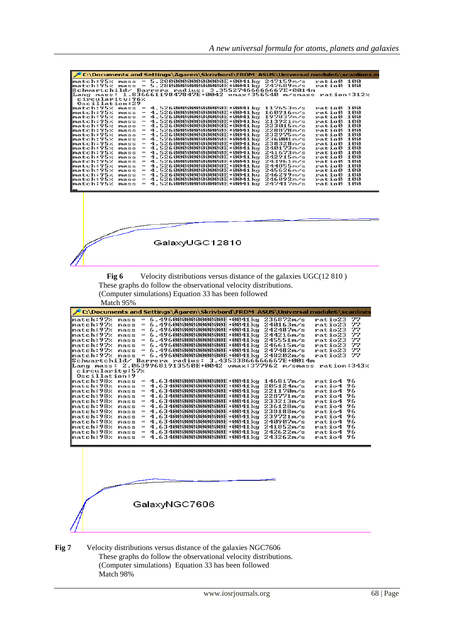| 5.28000000000000E+0041kg<br>247159m/s<br>match:95%<br>mass<br>247689m/s<br>$= 5.280000000000000E+0041kg$<br>match:95%<br>mass<br>Schwartchild/ Barrera radius: 3.35527466666667E+0014m<br>1.83666119847847E+0042 vmax:356540 m/smass<br>ang mass:<br>circularity:96%<br><b>Oscillation:29</b><br>match:95%<br>4.52600000000000E+0041kg<br>117653m/s<br>mass<br>ratio0<br>4.52600000000000E+0041kg<br>match:95%<br>160916m/s<br>ratio0<br>mass<br>$=$<br>match:95%<br>4.52600000000000E+0041kg<br>197837m/s<br>ratio0<br>mass<br>match:95%<br>4.52600000000000E+0041kg<br>213921m/s<br>mass<br>ratio0<br>match:95%<br>$\hspace*{0.2cm} = \hspace*{0.2cm}$<br>4.52600000000000E+0041kg<br>223015m/s<br>ratio0<br>mass<br>match:95%<br>$=$<br>4.52600000000000E+0041kg<br>228878m/s<br>ratio0<br>mass<br>match:95%<br>4.52600000000000E+0041kg<br>232975m/s<br>mass<br>$=$<br>ratio0<br>4.52600000000000E+0041kg<br>match:95%<br>$=$<br>236001m/s<br>mass<br>ratio0<br>match:95%<br>$=$<br>4.52600000000000E+0041kg<br>238328m/s<br>ratio0<br>mass<br>match:95%<br>240173m/s<br>$=$<br>4.52600000000000E+0041kg<br>ratio0<br>mass<br>match:95%<br>$=$<br>4.52600000000000E+0041kg<br>241673m/s<br>ratio0<br>mass<br>242915m/s<br>match:95%<br>4.52600000000000E+0041kg<br>ratio0<br>mass<br>match:95%<br>4.52600000000000E+0041kg<br>243961m/s<br>$\texttt{mass}$<br>ratio0<br>match:95%<br>4.52600000000000E+0041kg<br>244855m⁄s<br>mass<br>$=$<br>ratio0<br>match:95%<br>$=$<br>4.52600000000000E+0041kg<br>245626m⁄s<br>ratio0<br>mass<br>match:95%<br>4.52600000000000E+0041kg<br>246299m/s<br>$=$<br>ratio0<br>mass<br>match:95%<br>$= 4.52600000000000E+0041kg$<br>246892m/s<br>mass<br>ratio0<br>match:95%<br>247417m/s<br>4.52600000000000E+0041kg<br>mass<br>$=$<br>GalaxyUGC12810<br>Velocity distributions versus distance of the galaxies UGC(12 810)<br>Fig 6<br>These graphs do follow the observational velocity distributions.<br>(Computer simulations) Equation 33 has been followed<br>Match 95%<br>$mass = 6.49600000000000E+0041kg$<br>match:97%<br>236872m/s<br>ratio23<br>match:97%<br>6.49600000000000E+0041kg<br>240163m/s<br>ratio23<br>mass<br>$=$<br>match:97%<br>6.49600000000000E+0041kg<br>242487m/s<br>$mass =$<br>ratio23<br>244216m/s<br>match:97%<br>6.49600000000000E+0041kg<br>$\hspace*{0.4em} = \hspace*{0.4em}$<br>ratio23<br>mass<br>match:97%<br>$\hspace{1.0cm} = \hspace{1.0cm}$<br>6.49600000000000E+0041kg<br>245551m/s<br>mass<br>ratio23<br>6.49600000000000E+0041kg<br>match:97%<br>mass<br>$=$<br>246615m/s<br>ratio23<br>6.49600000000000E+0041kg 247482m/s<br>match:97%<br>ratio23<br>mass<br>$=$<br>6.49600000000000E+0041kg 248202m/s<br>match:97%<br>ratio23<br>mass<br>$\hspace*{0.4em} = \hspace*{0.4em}$<br>Schwartchild/ Barrera radius: 3.43533866666667E+0014m<br>Lang mass: 2.06399681913550E+0042 umax:377962 m/smass<br>circularity:57%<br>Oscillation:9<br>match:98% mass<br>4.63400000000000E+0041kg<br>146817m/s<br>ratio4 96<br>$=$<br>4.63400000000000E+0041kg<br>205124 m/s<br>96<br>match:98%<br>$\hspace*{0.4em} = \hspace*{0.4em}$<br>ratio4<br>mass<br>4.63400000000000E+0041kg 221170m/s<br>96<br>match:98%<br>$\hspace*{0.4em} = \hspace*{0.4em}$<br>ratio4<br>mass<br>match:98%<br>$= 4.63400000000000E+0041kg 228771m/s$<br>96<br>ratio4<br>mass<br>$= 4.63400000000000E+0041kg 233213m/s$<br>match:98%<br>ratio4<br>96<br>mass<br>$= 4.63400000000000E+0041kg 236128m/s$<br>ratio4 96<br> match:98% mass<br>match:98% mass<br>4.63400000000000E+0041kg 238188m/s<br>ratio4 96<br>ratio4 96<br>match:98% mass = 4.63400000000000E+0041kg 240907m/s<br>ratio4 96<br>match:98% mass = 4.63400000000000E+0041kg 241852m/s<br>ratio4 96<br>match:98% mass = 4.63400000000000E+0041kg 242622m/s<br>ratio4 96 | C:\Documents and Settings\Ägaren\Skrivbord\FROM_ASUS\Universal module6\scanlines.e<br>ratio0 100<br>ratio0 100<br>ration:312%<br>100<br>100<br>100<br>100<br>100<br>100<br>100<br>100<br>100<br>100<br>100<br>100<br>100<br>100<br>100<br>100<br>100<br>ratio0 100<br>'C:\Documents and Settings\Agaren\Skrivbord\FROM_ASUS\Universal module6\scanlines<br>77<br>77<br>77<br>77<br>77<br>77<br>77<br>22<br>ration:343%<br>ratio4 96 |  |  |
|------------------------------------------------------------------------------------------------------------------------------------------------------------------------------------------------------------------------------------------------------------------------------------------------------------------------------------------------------------------------------------------------------------------------------------------------------------------------------------------------------------------------------------------------------------------------------------------------------------------------------------------------------------------------------------------------------------------------------------------------------------------------------------------------------------------------------------------------------------------------------------------------------------------------------------------------------------------------------------------------------------------------------------------------------------------------------------------------------------------------------------------------------------------------------------------------------------------------------------------------------------------------------------------------------------------------------------------------------------------------------------------------------------------------------------------------------------------------------------------------------------------------------------------------------------------------------------------------------------------------------------------------------------------------------------------------------------------------------------------------------------------------------------------------------------------------------------------------------------------------------------------------------------------------------------------------------------------------------------------------------------------------------------------------------------------------------------------------------------------------------------------------------------------------------------------------------------------------------------------------------------------------------------------------------------------------------------------------------------------------------------------------------------------------------------------------------------------------------------------------------------------------------------------------------------------------------------------------------------------------------------------------------------------------------------------------------------------------------------------------------------------------------------------------------------------------------------------------------------------------------------------------------------------------------------------------------------------------------------------------------------------------------------------------------------------------------------------------------------------------------------------------------------------------------------------------------------------------------------------------------------------------------------------------------------------------------------------------------------------------------------------------------------------------------------------------------------------------------------------------------------------------------------------------------------------------------------------------------------------------------------------------------------------------------------------------------------------------------------------------------------------------------------|-------------------------------------------------------------------------------------------------------------------------------------------------------------------------------------------------------------------------------------------------------------------------------------------------------------------------------------------------------------------------------------------------------------------------------------|--|--|
|                                                                                                                                                                                                                                                                                                                                                                                                                                                                                                                                                                                                                                                                                                                                                                                                                                                                                                                                                                                                                                                                                                                                                                                                                                                                                                                                                                                                                                                                                                                                                                                                                                                                                                                                                                                                                                                                                                                                                                                                                                                                                                                                                                                                                                                                                                                                                                                                                                                                                                                                                                                                                                                                                                                                                                                                                                                                                                                                                                                                                                                                                                                                                                                                                                                                                                                                                                                                                                                                                                                                                                                                                                                                                                                                                                                    |                                                                                                                                                                                                                                                                                                                                                                                                                                     |  |  |
|                                                                                                                                                                                                                                                                                                                                                                                                                                                                                                                                                                                                                                                                                                                                                                                                                                                                                                                                                                                                                                                                                                                                                                                                                                                                                                                                                                                                                                                                                                                                                                                                                                                                                                                                                                                                                                                                                                                                                                                                                                                                                                                                                                                                                                                                                                                                                                                                                                                                                                                                                                                                                                                                                                                                                                                                                                                                                                                                                                                                                                                                                                                                                                                                                                                                                                                                                                                                                                                                                                                                                                                                                                                                                                                                                                                    |                                                                                                                                                                                                                                                                                                                                                                                                                                     |  |  |
|                                                                                                                                                                                                                                                                                                                                                                                                                                                                                                                                                                                                                                                                                                                                                                                                                                                                                                                                                                                                                                                                                                                                                                                                                                                                                                                                                                                                                                                                                                                                                                                                                                                                                                                                                                                                                                                                                                                                                                                                                                                                                                                                                                                                                                                                                                                                                                                                                                                                                                                                                                                                                                                                                                                                                                                                                                                                                                                                                                                                                                                                                                                                                                                                                                                                                                                                                                                                                                                                                                                                                                                                                                                                                                                                                                                    |                                                                                                                                                                                                                                                                                                                                                                                                                                     |  |  |
|                                                                                                                                                                                                                                                                                                                                                                                                                                                                                                                                                                                                                                                                                                                                                                                                                                                                                                                                                                                                                                                                                                                                                                                                                                                                                                                                                                                                                                                                                                                                                                                                                                                                                                                                                                                                                                                                                                                                                                                                                                                                                                                                                                                                                                                                                                                                                                                                                                                                                                                                                                                                                                                                                                                                                                                                                                                                                                                                                                                                                                                                                                                                                                                                                                                                                                                                                                                                                                                                                                                                                                                                                                                                                                                                                                                    |                                                                                                                                                                                                                                                                                                                                                                                                                                     |  |  |
|                                                                                                                                                                                                                                                                                                                                                                                                                                                                                                                                                                                                                                                                                                                                                                                                                                                                                                                                                                                                                                                                                                                                                                                                                                                                                                                                                                                                                                                                                                                                                                                                                                                                                                                                                                                                                                                                                                                                                                                                                                                                                                                                                                                                                                                                                                                                                                                                                                                                                                                                                                                                                                                                                                                                                                                                                                                                                                                                                                                                                                                                                                                                                                                                                                                                                                                                                                                                                                                                                                                                                                                                                                                                                                                                                                                    |                                                                                                                                                                                                                                                                                                                                                                                                                                     |  |  |
|                                                                                                                                                                                                                                                                                                                                                                                                                                                                                                                                                                                                                                                                                                                                                                                                                                                                                                                                                                                                                                                                                                                                                                                                                                                                                                                                                                                                                                                                                                                                                                                                                                                                                                                                                                                                                                                                                                                                                                                                                                                                                                                                                                                                                                                                                                                                                                                                                                                                                                                                                                                                                                                                                                                                                                                                                                                                                                                                                                                                                                                                                                                                                                                                                                                                                                                                                                                                                                                                                                                                                                                                                                                                                                                                                                                    |                                                                                                                                                                                                                                                                                                                                                                                                                                     |  |  |
|                                                                                                                                                                                                                                                                                                                                                                                                                                                                                                                                                                                                                                                                                                                                                                                                                                                                                                                                                                                                                                                                                                                                                                                                                                                                                                                                                                                                                                                                                                                                                                                                                                                                                                                                                                                                                                                                                                                                                                                                                                                                                                                                                                                                                                                                                                                                                                                                                                                                                                                                                                                                                                                                                                                                                                                                                                                                                                                                                                                                                                                                                                                                                                                                                                                                                                                                                                                                                                                                                                                                                                                                                                                                                                                                                                                    |                                                                                                                                                                                                                                                                                                                                                                                                                                     |  |  |
|                                                                                                                                                                                                                                                                                                                                                                                                                                                                                                                                                                                                                                                                                                                                                                                                                                                                                                                                                                                                                                                                                                                                                                                                                                                                                                                                                                                                                                                                                                                                                                                                                                                                                                                                                                                                                                                                                                                                                                                                                                                                                                                                                                                                                                                                                                                                                                                                                                                                                                                                                                                                                                                                                                                                                                                                                                                                                                                                                                                                                                                                                                                                                                                                                                                                                                                                                                                                                                                                                                                                                                                                                                                                                                                                                                                    |                                                                                                                                                                                                                                                                                                                                                                                                                                     |  |  |
|                                                                                                                                                                                                                                                                                                                                                                                                                                                                                                                                                                                                                                                                                                                                                                                                                                                                                                                                                                                                                                                                                                                                                                                                                                                                                                                                                                                                                                                                                                                                                                                                                                                                                                                                                                                                                                                                                                                                                                                                                                                                                                                                                                                                                                                                                                                                                                                                                                                                                                                                                                                                                                                                                                                                                                                                                                                                                                                                                                                                                                                                                                                                                                                                                                                                                                                                                                                                                                                                                                                                                                                                                                                                                                                                                                                    |                                                                                                                                                                                                                                                                                                                                                                                                                                     |  |  |
|                                                                                                                                                                                                                                                                                                                                                                                                                                                                                                                                                                                                                                                                                                                                                                                                                                                                                                                                                                                                                                                                                                                                                                                                                                                                                                                                                                                                                                                                                                                                                                                                                                                                                                                                                                                                                                                                                                                                                                                                                                                                                                                                                                                                                                                                                                                                                                                                                                                                                                                                                                                                                                                                                                                                                                                                                                                                                                                                                                                                                                                                                                                                                                                                                                                                                                                                                                                                                                                                                                                                                                                                                                                                                                                                                                                    |                                                                                                                                                                                                                                                                                                                                                                                                                                     |  |  |
|                                                                                                                                                                                                                                                                                                                                                                                                                                                                                                                                                                                                                                                                                                                                                                                                                                                                                                                                                                                                                                                                                                                                                                                                                                                                                                                                                                                                                                                                                                                                                                                                                                                                                                                                                                                                                                                                                                                                                                                                                                                                                                                                                                                                                                                                                                                                                                                                                                                                                                                                                                                                                                                                                                                                                                                                                                                                                                                                                                                                                                                                                                                                                                                                                                                                                                                                                                                                                                                                                                                                                                                                                                                                                                                                                                                    |                                                                                                                                                                                                                                                                                                                                                                                                                                     |  |  |
|                                                                                                                                                                                                                                                                                                                                                                                                                                                                                                                                                                                                                                                                                                                                                                                                                                                                                                                                                                                                                                                                                                                                                                                                                                                                                                                                                                                                                                                                                                                                                                                                                                                                                                                                                                                                                                                                                                                                                                                                                                                                                                                                                                                                                                                                                                                                                                                                                                                                                                                                                                                                                                                                                                                                                                                                                                                                                                                                                                                                                                                                                                                                                                                                                                                                                                                                                                                                                                                                                                                                                                                                                                                                                                                                                                                    |                                                                                                                                                                                                                                                                                                                                                                                                                                     |  |  |
|                                                                                                                                                                                                                                                                                                                                                                                                                                                                                                                                                                                                                                                                                                                                                                                                                                                                                                                                                                                                                                                                                                                                                                                                                                                                                                                                                                                                                                                                                                                                                                                                                                                                                                                                                                                                                                                                                                                                                                                                                                                                                                                                                                                                                                                                                                                                                                                                                                                                                                                                                                                                                                                                                                                                                                                                                                                                                                                                                                                                                                                                                                                                                                                                                                                                                                                                                                                                                                                                                                                                                                                                                                                                                                                                                                                    |                                                                                                                                                                                                                                                                                                                                                                                                                                     |  |  |
|                                                                                                                                                                                                                                                                                                                                                                                                                                                                                                                                                                                                                                                                                                                                                                                                                                                                                                                                                                                                                                                                                                                                                                                                                                                                                                                                                                                                                                                                                                                                                                                                                                                                                                                                                                                                                                                                                                                                                                                                                                                                                                                                                                                                                                                                                                                                                                                                                                                                                                                                                                                                                                                                                                                                                                                                                                                                                                                                                                                                                                                                                                                                                                                                                                                                                                                                                                                                                                                                                                                                                                                                                                                                                                                                                                                    |                                                                                                                                                                                                                                                                                                                                                                                                                                     |  |  |
|                                                                                                                                                                                                                                                                                                                                                                                                                                                                                                                                                                                                                                                                                                                                                                                                                                                                                                                                                                                                                                                                                                                                                                                                                                                                                                                                                                                                                                                                                                                                                                                                                                                                                                                                                                                                                                                                                                                                                                                                                                                                                                                                                                                                                                                                                                                                                                                                                                                                                                                                                                                                                                                                                                                                                                                                                                                                                                                                                                                                                                                                                                                                                                                                                                                                                                                                                                                                                                                                                                                                                                                                                                                                                                                                                                                    |                                                                                                                                                                                                                                                                                                                                                                                                                                     |  |  |
|                                                                                                                                                                                                                                                                                                                                                                                                                                                                                                                                                                                                                                                                                                                                                                                                                                                                                                                                                                                                                                                                                                                                                                                                                                                                                                                                                                                                                                                                                                                                                                                                                                                                                                                                                                                                                                                                                                                                                                                                                                                                                                                                                                                                                                                                                                                                                                                                                                                                                                                                                                                                                                                                                                                                                                                                                                                                                                                                                                                                                                                                                                                                                                                                                                                                                                                                                                                                                                                                                                                                                                                                                                                                                                                                                                                    |                                                                                                                                                                                                                                                                                                                                                                                                                                     |  |  |
|                                                                                                                                                                                                                                                                                                                                                                                                                                                                                                                                                                                                                                                                                                                                                                                                                                                                                                                                                                                                                                                                                                                                                                                                                                                                                                                                                                                                                                                                                                                                                                                                                                                                                                                                                                                                                                                                                                                                                                                                                                                                                                                                                                                                                                                                                                                                                                                                                                                                                                                                                                                                                                                                                                                                                                                                                                                                                                                                                                                                                                                                                                                                                                                                                                                                                                                                                                                                                                                                                                                                                                                                                                                                                                                                                                                    |                                                                                                                                                                                                                                                                                                                                                                                                                                     |  |  |
|                                                                                                                                                                                                                                                                                                                                                                                                                                                                                                                                                                                                                                                                                                                                                                                                                                                                                                                                                                                                                                                                                                                                                                                                                                                                                                                                                                                                                                                                                                                                                                                                                                                                                                                                                                                                                                                                                                                                                                                                                                                                                                                                                                                                                                                                                                                                                                                                                                                                                                                                                                                                                                                                                                                                                                                                                                                                                                                                                                                                                                                                                                                                                                                                                                                                                                                                                                                                                                                                                                                                                                                                                                                                                                                                                                                    |                                                                                                                                                                                                                                                                                                                                                                                                                                     |  |  |
|                                                                                                                                                                                                                                                                                                                                                                                                                                                                                                                                                                                                                                                                                                                                                                                                                                                                                                                                                                                                                                                                                                                                                                                                                                                                                                                                                                                                                                                                                                                                                                                                                                                                                                                                                                                                                                                                                                                                                                                                                                                                                                                                                                                                                                                                                                                                                                                                                                                                                                                                                                                                                                                                                                                                                                                                                                                                                                                                                                                                                                                                                                                                                                                                                                                                                                                                                                                                                                                                                                                                                                                                                                                                                                                                                                                    |                                                                                                                                                                                                                                                                                                                                                                                                                                     |  |  |
|                                                                                                                                                                                                                                                                                                                                                                                                                                                                                                                                                                                                                                                                                                                                                                                                                                                                                                                                                                                                                                                                                                                                                                                                                                                                                                                                                                                                                                                                                                                                                                                                                                                                                                                                                                                                                                                                                                                                                                                                                                                                                                                                                                                                                                                                                                                                                                                                                                                                                                                                                                                                                                                                                                                                                                                                                                                                                                                                                                                                                                                                                                                                                                                                                                                                                                                                                                                                                                                                                                                                                                                                                                                                                                                                                                                    |                                                                                                                                                                                                                                                                                                                                                                                                                                     |  |  |
|                                                                                                                                                                                                                                                                                                                                                                                                                                                                                                                                                                                                                                                                                                                                                                                                                                                                                                                                                                                                                                                                                                                                                                                                                                                                                                                                                                                                                                                                                                                                                                                                                                                                                                                                                                                                                                                                                                                                                                                                                                                                                                                                                                                                                                                                                                                                                                                                                                                                                                                                                                                                                                                                                                                                                                                                                                                                                                                                                                                                                                                                                                                                                                                                                                                                                                                                                                                                                                                                                                                                                                                                                                                                                                                                                                                    |                                                                                                                                                                                                                                                                                                                                                                                                                                     |  |  |
|                                                                                                                                                                                                                                                                                                                                                                                                                                                                                                                                                                                                                                                                                                                                                                                                                                                                                                                                                                                                                                                                                                                                                                                                                                                                                                                                                                                                                                                                                                                                                                                                                                                                                                                                                                                                                                                                                                                                                                                                                                                                                                                                                                                                                                                                                                                                                                                                                                                                                                                                                                                                                                                                                                                                                                                                                                                                                                                                                                                                                                                                                                                                                                                                                                                                                                                                                                                                                                                                                                                                                                                                                                                                                                                                                                                    |                                                                                                                                                                                                                                                                                                                                                                                                                                     |  |  |
|                                                                                                                                                                                                                                                                                                                                                                                                                                                                                                                                                                                                                                                                                                                                                                                                                                                                                                                                                                                                                                                                                                                                                                                                                                                                                                                                                                                                                                                                                                                                                                                                                                                                                                                                                                                                                                                                                                                                                                                                                                                                                                                                                                                                                                                                                                                                                                                                                                                                                                                                                                                                                                                                                                                                                                                                                                                                                                                                                                                                                                                                                                                                                                                                                                                                                                                                                                                                                                                                                                                                                                                                                                                                                                                                                                                    |                                                                                                                                                                                                                                                                                                                                                                                                                                     |  |  |
|                                                                                                                                                                                                                                                                                                                                                                                                                                                                                                                                                                                                                                                                                                                                                                                                                                                                                                                                                                                                                                                                                                                                                                                                                                                                                                                                                                                                                                                                                                                                                                                                                                                                                                                                                                                                                                                                                                                                                                                                                                                                                                                                                                                                                                                                                                                                                                                                                                                                                                                                                                                                                                                                                                                                                                                                                                                                                                                                                                                                                                                                                                                                                                                                                                                                                                                                                                                                                                                                                                                                                                                                                                                                                                                                                                                    |                                                                                                                                                                                                                                                                                                                                                                                                                                     |  |  |
|                                                                                                                                                                                                                                                                                                                                                                                                                                                                                                                                                                                                                                                                                                                                                                                                                                                                                                                                                                                                                                                                                                                                                                                                                                                                                                                                                                                                                                                                                                                                                                                                                                                                                                                                                                                                                                                                                                                                                                                                                                                                                                                                                                                                                                                                                                                                                                                                                                                                                                                                                                                                                                                                                                                                                                                                                                                                                                                                                                                                                                                                                                                                                                                                                                                                                                                                                                                                                                                                                                                                                                                                                                                                                                                                                                                    |                                                                                                                                                                                                                                                                                                                                                                                                                                     |  |  |
|                                                                                                                                                                                                                                                                                                                                                                                                                                                                                                                                                                                                                                                                                                                                                                                                                                                                                                                                                                                                                                                                                                                                                                                                                                                                                                                                                                                                                                                                                                                                                                                                                                                                                                                                                                                                                                                                                                                                                                                                                                                                                                                                                                                                                                                                                                                                                                                                                                                                                                                                                                                                                                                                                                                                                                                                                                                                                                                                                                                                                                                                                                                                                                                                                                                                                                                                                                                                                                                                                                                                                                                                                                                                                                                                                                                    |                                                                                                                                                                                                                                                                                                                                                                                                                                     |  |  |
|                                                                                                                                                                                                                                                                                                                                                                                                                                                                                                                                                                                                                                                                                                                                                                                                                                                                                                                                                                                                                                                                                                                                                                                                                                                                                                                                                                                                                                                                                                                                                                                                                                                                                                                                                                                                                                                                                                                                                                                                                                                                                                                                                                                                                                                                                                                                                                                                                                                                                                                                                                                                                                                                                                                                                                                                                                                                                                                                                                                                                                                                                                                                                                                                                                                                                                                                                                                                                                                                                                                                                                                                                                                                                                                                                                                    |                                                                                                                                                                                                                                                                                                                                                                                                                                     |  |  |
|                                                                                                                                                                                                                                                                                                                                                                                                                                                                                                                                                                                                                                                                                                                                                                                                                                                                                                                                                                                                                                                                                                                                                                                                                                                                                                                                                                                                                                                                                                                                                                                                                                                                                                                                                                                                                                                                                                                                                                                                                                                                                                                                                                                                                                                                                                                                                                                                                                                                                                                                                                                                                                                                                                                                                                                                                                                                                                                                                                                                                                                                                                                                                                                                                                                                                                                                                                                                                                                                                                                                                                                                                                                                                                                                                                                    |                                                                                                                                                                                                                                                                                                                                                                                                                                     |  |  |
|                                                                                                                                                                                                                                                                                                                                                                                                                                                                                                                                                                                                                                                                                                                                                                                                                                                                                                                                                                                                                                                                                                                                                                                                                                                                                                                                                                                                                                                                                                                                                                                                                                                                                                                                                                                                                                                                                                                                                                                                                                                                                                                                                                                                                                                                                                                                                                                                                                                                                                                                                                                                                                                                                                                                                                                                                                                                                                                                                                                                                                                                                                                                                                                                                                                                                                                                                                                                                                                                                                                                                                                                                                                                                                                                                                                    |                                                                                                                                                                                                                                                                                                                                                                                                                                     |  |  |
|                                                                                                                                                                                                                                                                                                                                                                                                                                                                                                                                                                                                                                                                                                                                                                                                                                                                                                                                                                                                                                                                                                                                                                                                                                                                                                                                                                                                                                                                                                                                                                                                                                                                                                                                                                                                                                                                                                                                                                                                                                                                                                                                                                                                                                                                                                                                                                                                                                                                                                                                                                                                                                                                                                                                                                                                                                                                                                                                                                                                                                                                                                                                                                                                                                                                                                                                                                                                                                                                                                                                                                                                                                                                                                                                                                                    |                                                                                                                                                                                                                                                                                                                                                                                                                                     |  |  |
|                                                                                                                                                                                                                                                                                                                                                                                                                                                                                                                                                                                                                                                                                                                                                                                                                                                                                                                                                                                                                                                                                                                                                                                                                                                                                                                                                                                                                                                                                                                                                                                                                                                                                                                                                                                                                                                                                                                                                                                                                                                                                                                                                                                                                                                                                                                                                                                                                                                                                                                                                                                                                                                                                                                                                                                                                                                                                                                                                                                                                                                                                                                                                                                                                                                                                                                                                                                                                                                                                                                                                                                                                                                                                                                                                                                    |                                                                                                                                                                                                                                                                                                                                                                                                                                     |  |  |
|                                                                                                                                                                                                                                                                                                                                                                                                                                                                                                                                                                                                                                                                                                                                                                                                                                                                                                                                                                                                                                                                                                                                                                                                                                                                                                                                                                                                                                                                                                                                                                                                                                                                                                                                                                                                                                                                                                                                                                                                                                                                                                                                                                                                                                                                                                                                                                                                                                                                                                                                                                                                                                                                                                                                                                                                                                                                                                                                                                                                                                                                                                                                                                                                                                                                                                                                                                                                                                                                                                                                                                                                                                                                                                                                                                                    |                                                                                                                                                                                                                                                                                                                                                                                                                                     |  |  |
|                                                                                                                                                                                                                                                                                                                                                                                                                                                                                                                                                                                                                                                                                                                                                                                                                                                                                                                                                                                                                                                                                                                                                                                                                                                                                                                                                                                                                                                                                                                                                                                                                                                                                                                                                                                                                                                                                                                                                                                                                                                                                                                                                                                                                                                                                                                                                                                                                                                                                                                                                                                                                                                                                                                                                                                                                                                                                                                                                                                                                                                                                                                                                                                                                                                                                                                                                                                                                                                                                                                                                                                                                                                                                                                                                                                    |                                                                                                                                                                                                                                                                                                                                                                                                                                     |  |  |
|                                                                                                                                                                                                                                                                                                                                                                                                                                                                                                                                                                                                                                                                                                                                                                                                                                                                                                                                                                                                                                                                                                                                                                                                                                                                                                                                                                                                                                                                                                                                                                                                                                                                                                                                                                                                                                                                                                                                                                                                                                                                                                                                                                                                                                                                                                                                                                                                                                                                                                                                                                                                                                                                                                                                                                                                                                                                                                                                                                                                                                                                                                                                                                                                                                                                                                                                                                                                                                                                                                                                                                                                                                                                                                                                                                                    |                                                                                                                                                                                                                                                                                                                                                                                                                                     |  |  |
|                                                                                                                                                                                                                                                                                                                                                                                                                                                                                                                                                                                                                                                                                                                                                                                                                                                                                                                                                                                                                                                                                                                                                                                                                                                                                                                                                                                                                                                                                                                                                                                                                                                                                                                                                                                                                                                                                                                                                                                                                                                                                                                                                                                                                                                                                                                                                                                                                                                                                                                                                                                                                                                                                                                                                                                                                                                                                                                                                                                                                                                                                                                                                                                                                                                                                                                                                                                                                                                                                                                                                                                                                                                                                                                                                                                    |                                                                                                                                                                                                                                                                                                                                                                                                                                     |  |  |
|                                                                                                                                                                                                                                                                                                                                                                                                                                                                                                                                                                                                                                                                                                                                                                                                                                                                                                                                                                                                                                                                                                                                                                                                                                                                                                                                                                                                                                                                                                                                                                                                                                                                                                                                                                                                                                                                                                                                                                                                                                                                                                                                                                                                                                                                                                                                                                                                                                                                                                                                                                                                                                                                                                                                                                                                                                                                                                                                                                                                                                                                                                                                                                                                                                                                                                                                                                                                                                                                                                                                                                                                                                                                                                                                                                                    |                                                                                                                                                                                                                                                                                                                                                                                                                                     |  |  |
|                                                                                                                                                                                                                                                                                                                                                                                                                                                                                                                                                                                                                                                                                                                                                                                                                                                                                                                                                                                                                                                                                                                                                                                                                                                                                                                                                                                                                                                                                                                                                                                                                                                                                                                                                                                                                                                                                                                                                                                                                                                                                                                                                                                                                                                                                                                                                                                                                                                                                                                                                                                                                                                                                                                                                                                                                                                                                                                                                                                                                                                                                                                                                                                                                                                                                                                                                                                                                                                                                                                                                                                                                                                                                                                                                                                    |                                                                                                                                                                                                                                                                                                                                                                                                                                     |  |  |
|                                                                                                                                                                                                                                                                                                                                                                                                                                                                                                                                                                                                                                                                                                                                                                                                                                                                                                                                                                                                                                                                                                                                                                                                                                                                                                                                                                                                                                                                                                                                                                                                                                                                                                                                                                                                                                                                                                                                                                                                                                                                                                                                                                                                                                                                                                                                                                                                                                                                                                                                                                                                                                                                                                                                                                                                                                                                                                                                                                                                                                                                                                                                                                                                                                                                                                                                                                                                                                                                                                                                                                                                                                                                                                                                                                                    |                                                                                                                                                                                                                                                                                                                                                                                                                                     |  |  |
|                                                                                                                                                                                                                                                                                                                                                                                                                                                                                                                                                                                                                                                                                                                                                                                                                                                                                                                                                                                                                                                                                                                                                                                                                                                                                                                                                                                                                                                                                                                                                                                                                                                                                                                                                                                                                                                                                                                                                                                                                                                                                                                                                                                                                                                                                                                                                                                                                                                                                                                                                                                                                                                                                                                                                                                                                                                                                                                                                                                                                                                                                                                                                                                                                                                                                                                                                                                                                                                                                                                                                                                                                                                                                                                                                                                    |                                                                                                                                                                                                                                                                                                                                                                                                                                     |  |  |
|                                                                                                                                                                                                                                                                                                                                                                                                                                                                                                                                                                                                                                                                                                                                                                                                                                                                                                                                                                                                                                                                                                                                                                                                                                                                                                                                                                                                                                                                                                                                                                                                                                                                                                                                                                                                                                                                                                                                                                                                                                                                                                                                                                                                                                                                                                                                                                                                                                                                                                                                                                                                                                                                                                                                                                                                                                                                                                                                                                                                                                                                                                                                                                                                                                                                                                                                                                                                                                                                                                                                                                                                                                                                                                                                                                                    |                                                                                                                                                                                                                                                                                                                                                                                                                                     |  |  |
|                                                                                                                                                                                                                                                                                                                                                                                                                                                                                                                                                                                                                                                                                                                                                                                                                                                                                                                                                                                                                                                                                                                                                                                                                                                                                                                                                                                                                                                                                                                                                                                                                                                                                                                                                                                                                                                                                                                                                                                                                                                                                                                                                                                                                                                                                                                                                                                                                                                                                                                                                                                                                                                                                                                                                                                                                                                                                                                                                                                                                                                                                                                                                                                                                                                                                                                                                                                                                                                                                                                                                                                                                                                                                                                                                                                    |                                                                                                                                                                                                                                                                                                                                                                                                                                     |  |  |
|                                                                                                                                                                                                                                                                                                                                                                                                                                                                                                                                                                                                                                                                                                                                                                                                                                                                                                                                                                                                                                                                                                                                                                                                                                                                                                                                                                                                                                                                                                                                                                                                                                                                                                                                                                                                                                                                                                                                                                                                                                                                                                                                                                                                                                                                                                                                                                                                                                                                                                                                                                                                                                                                                                                                                                                                                                                                                                                                                                                                                                                                                                                                                                                                                                                                                                                                                                                                                                                                                                                                                                                                                                                                                                                                                                                    |                                                                                                                                                                                                                                                                                                                                                                                                                                     |  |  |
|                                                                                                                                                                                                                                                                                                                                                                                                                                                                                                                                                                                                                                                                                                                                                                                                                                                                                                                                                                                                                                                                                                                                                                                                                                                                                                                                                                                                                                                                                                                                                                                                                                                                                                                                                                                                                                                                                                                                                                                                                                                                                                                                                                                                                                                                                                                                                                                                                                                                                                                                                                                                                                                                                                                                                                                                                                                                                                                                                                                                                                                                                                                                                                                                                                                                                                                                                                                                                                                                                                                                                                                                                                                                                                                                                                                    |                                                                                                                                                                                                                                                                                                                                                                                                                                     |  |  |
|                                                                                                                                                                                                                                                                                                                                                                                                                                                                                                                                                                                                                                                                                                                                                                                                                                                                                                                                                                                                                                                                                                                                                                                                                                                                                                                                                                                                                                                                                                                                                                                                                                                                                                                                                                                                                                                                                                                                                                                                                                                                                                                                                                                                                                                                                                                                                                                                                                                                                                                                                                                                                                                                                                                                                                                                                                                                                                                                                                                                                                                                                                                                                                                                                                                                                                                                                                                                                                                                                                                                                                                                                                                                                                                                                                                    |                                                                                                                                                                                                                                                                                                                                                                                                                                     |  |  |
|                                                                                                                                                                                                                                                                                                                                                                                                                                                                                                                                                                                                                                                                                                                                                                                                                                                                                                                                                                                                                                                                                                                                                                                                                                                                                                                                                                                                                                                                                                                                                                                                                                                                                                                                                                                                                                                                                                                                                                                                                                                                                                                                                                                                                                                                                                                                                                                                                                                                                                                                                                                                                                                                                                                                                                                                                                                                                                                                                                                                                                                                                                                                                                                                                                                                                                                                                                                                                                                                                                                                                                                                                                                                                                                                                                                    |                                                                                                                                                                                                                                                                                                                                                                                                                                     |  |  |
|                                                                                                                                                                                                                                                                                                                                                                                                                                                                                                                                                                                                                                                                                                                                                                                                                                                                                                                                                                                                                                                                                                                                                                                                                                                                                                                                                                                                                                                                                                                                                                                                                                                                                                                                                                                                                                                                                                                                                                                                                                                                                                                                                                                                                                                                                                                                                                                                                                                                                                                                                                                                                                                                                                                                                                                                                                                                                                                                                                                                                                                                                                                                                                                                                                                                                                                                                                                                                                                                                                                                                                                                                                                                                                                                                                                    |                                                                                                                                                                                                                                                                                                                                                                                                                                     |  |  |
|                                                                                                                                                                                                                                                                                                                                                                                                                                                                                                                                                                                                                                                                                                                                                                                                                                                                                                                                                                                                                                                                                                                                                                                                                                                                                                                                                                                                                                                                                                                                                                                                                                                                                                                                                                                                                                                                                                                                                                                                                                                                                                                                                                                                                                                                                                                                                                                                                                                                                                                                                                                                                                                                                                                                                                                                                                                                                                                                                                                                                                                                                                                                                                                                                                                                                                                                                                                                                                                                                                                                                                                                                                                                                                                                                                                    |                                                                                                                                                                                                                                                                                                                                                                                                                                     |  |  |
|                                                                                                                                                                                                                                                                                                                                                                                                                                                                                                                                                                                                                                                                                                                                                                                                                                                                                                                                                                                                                                                                                                                                                                                                                                                                                                                                                                                                                                                                                                                                                                                                                                                                                                                                                                                                                                                                                                                                                                                                                                                                                                                                                                                                                                                                                                                                                                                                                                                                                                                                                                                                                                                                                                                                                                                                                                                                                                                                                                                                                                                                                                                                                                                                                                                                                                                                                                                                                                                                                                                                                                                                                                                                                                                                                                                    |                                                                                                                                                                                                                                                                                                                                                                                                                                     |  |  |
|                                                                                                                                                                                                                                                                                                                                                                                                                                                                                                                                                                                                                                                                                                                                                                                                                                                                                                                                                                                                                                                                                                                                                                                                                                                                                                                                                                                                                                                                                                                                                                                                                                                                                                                                                                                                                                                                                                                                                                                                                                                                                                                                                                                                                                                                                                                                                                                                                                                                                                                                                                                                                                                                                                                                                                                                                                                                                                                                                                                                                                                                                                                                                                                                                                                                                                                                                                                                                                                                                                                                                                                                                                                                                                                                                                                    |                                                                                                                                                                                                                                                                                                                                                                                                                                     |  |  |
|                                                                                                                                                                                                                                                                                                                                                                                                                                                                                                                                                                                                                                                                                                                                                                                                                                                                                                                                                                                                                                                                                                                                                                                                                                                                                                                                                                                                                                                                                                                                                                                                                                                                                                                                                                                                                                                                                                                                                                                                                                                                                                                                                                                                                                                                                                                                                                                                                                                                                                                                                                                                                                                                                                                                                                                                                                                                                                                                                                                                                                                                                                                                                                                                                                                                                                                                                                                                                                                                                                                                                                                                                                                                                                                                                                                    |                                                                                                                                                                                                                                                                                                                                                                                                                                     |  |  |
|                                                                                                                                                                                                                                                                                                                                                                                                                                                                                                                                                                                                                                                                                                                                                                                                                                                                                                                                                                                                                                                                                                                                                                                                                                                                                                                                                                                                                                                                                                                                                                                                                                                                                                                                                                                                                                                                                                                                                                                                                                                                                                                                                                                                                                                                                                                                                                                                                                                                                                                                                                                                                                                                                                                                                                                                                                                                                                                                                                                                                                                                                                                                                                                                                                                                                                                                                                                                                                                                                                                                                                                                                                                                                                                                                                                    |                                                                                                                                                                                                                                                                                                                                                                                                                                     |  |  |
|                                                                                                                                                                                                                                                                                                                                                                                                                                                                                                                                                                                                                                                                                                                                                                                                                                                                                                                                                                                                                                                                                                                                                                                                                                                                                                                                                                                                                                                                                                                                                                                                                                                                                                                                                                                                                                                                                                                                                                                                                                                                                                                                                                                                                                                                                                                                                                                                                                                                                                                                                                                                                                                                                                                                                                                                                                                                                                                                                                                                                                                                                                                                                                                                                                                                                                                                                                                                                                                                                                                                                                                                                                                                                                                                                                                    |                                                                                                                                                                                                                                                                                                                                                                                                                                     |  |  |
|                                                                                                                                                                                                                                                                                                                                                                                                                                                                                                                                                                                                                                                                                                                                                                                                                                                                                                                                                                                                                                                                                                                                                                                                                                                                                                                                                                                                                                                                                                                                                                                                                                                                                                                                                                                                                                                                                                                                                                                                                                                                                                                                                                                                                                                                                                                                                                                                                                                                                                                                                                                                                                                                                                                                                                                                                                                                                                                                                                                                                                                                                                                                                                                                                                                                                                                                                                                                                                                                                                                                                                                                                                                                                                                                                                                    |                                                                                                                                                                                                                                                                                                                                                                                                                                     |  |  |
|                                                                                                                                                                                                                                                                                                                                                                                                                                                                                                                                                                                                                                                                                                                                                                                                                                                                                                                                                                                                                                                                                                                                                                                                                                                                                                                                                                                                                                                                                                                                                                                                                                                                                                                                                                                                                                                                                                                                                                                                                                                                                                                                                                                                                                                                                                                                                                                                                                                                                                                                                                                                                                                                                                                                                                                                                                                                                                                                                                                                                                                                                                                                                                                                                                                                                                                                                                                                                                                                                                                                                                                                                                                                                                                                                                                    |                                                                                                                                                                                                                                                                                                                                                                                                                                     |  |  |
|                                                                                                                                                                                                                                                                                                                                                                                                                                                                                                                                                                                                                                                                                                                                                                                                                                                                                                                                                                                                                                                                                                                                                                                                                                                                                                                                                                                                                                                                                                                                                                                                                                                                                                                                                                                                                                                                                                                                                                                                                                                                                                                                                                                                                                                                                                                                                                                                                                                                                                                                                                                                                                                                                                                                                                                                                                                                                                                                                                                                                                                                                                                                                                                                                                                                                                                                                                                                                                                                                                                                                                                                                                                                                                                                                                                    |                                                                                                                                                                                                                                                                                                                                                                                                                                     |  |  |
|                                                                                                                                                                                                                                                                                                                                                                                                                                                                                                                                                                                                                                                                                                                                                                                                                                                                                                                                                                                                                                                                                                                                                                                                                                                                                                                                                                                                                                                                                                                                                                                                                                                                                                                                                                                                                                                                                                                                                                                                                                                                                                                                                                                                                                                                                                                                                                                                                                                                                                                                                                                                                                                                                                                                                                                                                                                                                                                                                                                                                                                                                                                                                                                                                                                                                                                                                                                                                                                                                                                                                                                                                                                                                                                                                                                    |                                                                                                                                                                                                                                                                                                                                                                                                                                     |  |  |
|                                                                                                                                                                                                                                                                                                                                                                                                                                                                                                                                                                                                                                                                                                                                                                                                                                                                                                                                                                                                                                                                                                                                                                                                                                                                                                                                                                                                                                                                                                                                                                                                                                                                                                                                                                                                                                                                                                                                                                                                                                                                                                                                                                                                                                                                                                                                                                                                                                                                                                                                                                                                                                                                                                                                                                                                                                                                                                                                                                                                                                                                                                                                                                                                                                                                                                                                                                                                                                                                                                                                                                                                                                                                                                                                                                                    |                                                                                                                                                                                                                                                                                                                                                                                                                                     |  |  |
|                                                                                                                                                                                                                                                                                                                                                                                                                                                                                                                                                                                                                                                                                                                                                                                                                                                                                                                                                                                                                                                                                                                                                                                                                                                                                                                                                                                                                                                                                                                                                                                                                                                                                                                                                                                                                                                                                                                                                                                                                                                                                                                                                                                                                                                                                                                                                                                                                                                                                                                                                                                                                                                                                                                                                                                                                                                                                                                                                                                                                                                                                                                                                                                                                                                                                                                                                                                                                                                                                                                                                                                                                                                                                                                                                                                    |                                                                                                                                                                                                                                                                                                                                                                                                                                     |  |  |
|                                                                                                                                                                                                                                                                                                                                                                                                                                                                                                                                                                                                                                                                                                                                                                                                                                                                                                                                                                                                                                                                                                                                                                                                                                                                                                                                                                                                                                                                                                                                                                                                                                                                                                                                                                                                                                                                                                                                                                                                                                                                                                                                                                                                                                                                                                                                                                                                                                                                                                                                                                                                                                                                                                                                                                                                                                                                                                                                                                                                                                                                                                                                                                                                                                                                                                                                                                                                                                                                                                                                                                                                                                                                                                                                                                                    |                                                                                                                                                                                                                                                                                                                                                                                                                                     |  |  |
|                                                                                                                                                                                                                                                                                                                                                                                                                                                                                                                                                                                                                                                                                                                                                                                                                                                                                                                                                                                                                                                                                                                                                                                                                                                                                                                                                                                                                                                                                                                                                                                                                                                                                                                                                                                                                                                                                                                                                                                                                                                                                                                                                                                                                                                                                                                                                                                                                                                                                                                                                                                                                                                                                                                                                                                                                                                                                                                                                                                                                                                                                                                                                                                                                                                                                                                                                                                                                                                                                                                                                                                                                                                                                                                                                                                    |                                                                                                                                                                                                                                                                                                                                                                                                                                     |  |  |
|                                                                                                                                                                                                                                                                                                                                                                                                                                                                                                                                                                                                                                                                                                                                                                                                                                                                                                                                                                                                                                                                                                                                                                                                                                                                                                                                                                                                                                                                                                                                                                                                                                                                                                                                                                                                                                                                                                                                                                                                                                                                                                                                                                                                                                                                                                                                                                                                                                                                                                                                                                                                                                                                                                                                                                                                                                                                                                                                                                                                                                                                                                                                                                                                                                                                                                                                                                                                                                                                                                                                                                                                                                                                                                                                                                                    |                                                                                                                                                                                                                                                                                                                                                                                                                                     |  |  |
|                                                                                                                                                                                                                                                                                                                                                                                                                                                                                                                                                                                                                                                                                                                                                                                                                                                                                                                                                                                                                                                                                                                                                                                                                                                                                                                                                                                                                                                                                                                                                                                                                                                                                                                                                                                                                                                                                                                                                                                                                                                                                                                                                                                                                                                                                                                                                                                                                                                                                                                                                                                                                                                                                                                                                                                                                                                                                                                                                                                                                                                                                                                                                                                                                                                                                                                                                                                                                                                                                                                                                                                                                                                                                                                                                                                    |                                                                                                                                                                                                                                                                                                                                                                                                                                     |  |  |
|                                                                                                                                                                                                                                                                                                                                                                                                                                                                                                                                                                                                                                                                                                                                                                                                                                                                                                                                                                                                                                                                                                                                                                                                                                                                                                                                                                                                                                                                                                                                                                                                                                                                                                                                                                                                                                                                                                                                                                                                                                                                                                                                                                                                                                                                                                                                                                                                                                                                                                                                                                                                                                                                                                                                                                                                                                                                                                                                                                                                                                                                                                                                                                                                                                                                                                                                                                                                                                                                                                                                                                                                                                                                                                                                                                                    |                                                                                                                                                                                                                                                                                                                                                                                                                                     |  |  |
|                                                                                                                                                                                                                                                                                                                                                                                                                                                                                                                                                                                                                                                                                                                                                                                                                                                                                                                                                                                                                                                                                                                                                                                                                                                                                                                                                                                                                                                                                                                                                                                                                                                                                                                                                                                                                                                                                                                                                                                                                                                                                                                                                                                                                                                                                                                                                                                                                                                                                                                                                                                                                                                                                                                                                                                                                                                                                                                                                                                                                                                                                                                                                                                                                                                                                                                                                                                                                                                                                                                                                                                                                                                                                                                                                                                    |                                                                                                                                                                                                                                                                                                                                                                                                                                     |  |  |
|                                                                                                                                                                                                                                                                                                                                                                                                                                                                                                                                                                                                                                                                                                                                                                                                                                                                                                                                                                                                                                                                                                                                                                                                                                                                                                                                                                                                                                                                                                                                                                                                                                                                                                                                                                                                                                                                                                                                                                                                                                                                                                                                                                                                                                                                                                                                                                                                                                                                                                                                                                                                                                                                                                                                                                                                                                                                                                                                                                                                                                                                                                                                                                                                                                                                                                                                                                                                                                                                                                                                                                                                                                                                                                                                                                                    |                                                                                                                                                                                                                                                                                                                                                                                                                                     |  |  |
| GalaxyNGC7606                                                                                                                                                                                                                                                                                                                                                                                                                                                                                                                                                                                                                                                                                                                                                                                                                                                                                                                                                                                                                                                                                                                                                                                                                                                                                                                                                                                                                                                                                                                                                                                                                                                                                                                                                                                                                                                                                                                                                                                                                                                                                                                                                                                                                                                                                                                                                                                                                                                                                                                                                                                                                                                                                                                                                                                                                                                                                                                                                                                                                                                                                                                                                                                                                                                                                                                                                                                                                                                                                                                                                                                                                                                                                                                                                                      |                                                                                                                                                                                                                                                                                                                                                                                                                                     |  |  |
|                                                                                                                                                                                                                                                                                                                                                                                                                                                                                                                                                                                                                                                                                                                                                                                                                                                                                                                                                                                                                                                                                                                                                                                                                                                                                                                                                                                                                                                                                                                                                                                                                                                                                                                                                                                                                                                                                                                                                                                                                                                                                                                                                                                                                                                                                                                                                                                                                                                                                                                                                                                                                                                                                                                                                                                                                                                                                                                                                                                                                                                                                                                                                                                                                                                                                                                                                                                                                                                                                                                                                                                                                                                                                                                                                                                    |                                                                                                                                                                                                                                                                                                                                                                                                                                     |  |  |
|                                                                                                                                                                                                                                                                                                                                                                                                                                                                                                                                                                                                                                                                                                                                                                                                                                                                                                                                                                                                                                                                                                                                                                                                                                                                                                                                                                                                                                                                                                                                                                                                                                                                                                                                                                                                                                                                                                                                                                                                                                                                                                                                                                                                                                                                                                                                                                                                                                                                                                                                                                                                                                                                                                                                                                                                                                                                                                                                                                                                                                                                                                                                                                                                                                                                                                                                                                                                                                                                                                                                                                                                                                                                                                                                                                                    |                                                                                                                                                                                                                                                                                                                                                                                                                                     |  |  |
|                                                                                                                                                                                                                                                                                                                                                                                                                                                                                                                                                                                                                                                                                                                                                                                                                                                                                                                                                                                                                                                                                                                                                                                                                                                                                                                                                                                                                                                                                                                                                                                                                                                                                                                                                                                                                                                                                                                                                                                                                                                                                                                                                                                                                                                                                                                                                                                                                                                                                                                                                                                                                                                                                                                                                                                                                                                                                                                                                                                                                                                                                                                                                                                                                                                                                                                                                                                                                                                                                                                                                                                                                                                                                                                                                                                    |                                                                                                                                                                                                                                                                                                                                                                                                                                     |  |  |
|                                                                                                                                                                                                                                                                                                                                                                                                                                                                                                                                                                                                                                                                                                                                                                                                                                                                                                                                                                                                                                                                                                                                                                                                                                                                                                                                                                                                                                                                                                                                                                                                                                                                                                                                                                                                                                                                                                                                                                                                                                                                                                                                                                                                                                                                                                                                                                                                                                                                                                                                                                                                                                                                                                                                                                                                                                                                                                                                                                                                                                                                                                                                                                                                                                                                                                                                                                                                                                                                                                                                                                                                                                                                                                                                                                                    |                                                                                                                                                                                                                                                                                                                                                                                                                                     |  |  |

**Fig 7** Velocity distributions versus distance of the galaxies NGC7606 These graphs do follow the observational velocity distributions. (Computer simulations) Equation 33 has been followed Match 98%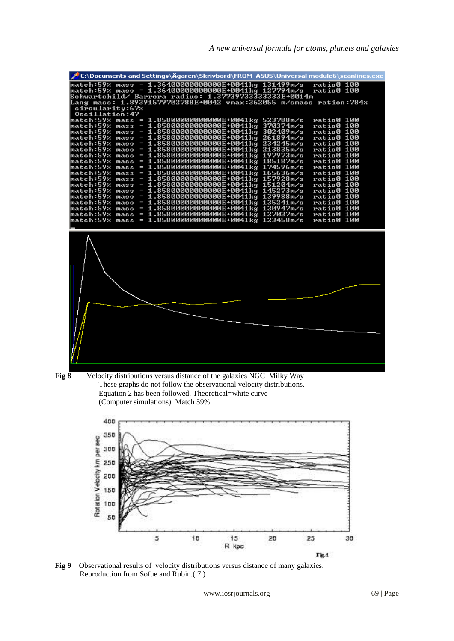| C:\Documents and Settings\Ägaren\Skrivbord\FROM_ASUS\Universal module6\scanlines.exe      |            |  |
|-------------------------------------------------------------------------------------------|------------|--|
|                                                                                           | ratio0 100 |  |
|                                                                                           | ratio0 100 |  |
| Schwartchild/ Barrera radius: 1.377397333333333E+0014m                                    |            |  |
| Lang mass: 1.89391579702788E+0042                         vmax:362055 m/smass ration:784x |            |  |
| circularity:67%                                                                           |            |  |
| Oscillation:47                                                                            | ratio0 100 |  |
|                                                                                           | ratio0 100 |  |
|                                                                                           | ratio0 100 |  |
|                                                                                           | ratio0 100 |  |
|                                                                                           | ratio0 100 |  |
|                                                                                           | ratio0 100 |  |
| $= 1.85800000000000E+0041kg 197973m/s$<br>match:59% mass                                  | ratio0 100 |  |
| match:59% mass<br>$= 1.85800000000000E + 0041kg$ 185187m/s                                | ratio0 100 |  |
| $= 1.85800000000000E + 0041kg$ 174596m/s<br>match:59% mass                                | ratio0 100 |  |
| match:59% mass<br>= 1.85800000000000E+0041kg 165636m/s                                    | ratio0 100 |  |
| $= 1.85800000000000E + 0041kg$ 157928m/s<br>match:59% mass                                | ratio0 100 |  |
| $= 1.85800000000000E + 0041kg$ 151204m/s<br>match:59%<br>mass                             | ratio0 100 |  |
| = 1.85800000000000E+0041kg 145273m/s<br>match:59% mass                                    | ratio0 100 |  |
| match:59%<br>= 1.85800000000000E+0041kg 139988m/s<br>mass                                 | ratio0 100 |  |
|                                                                                           | ratio0 100 |  |
| match:59%<br>$mass = 1.858000000000000E + 0041kg 130947m/s$                               | ratio0 100 |  |
|                                                                                           | ratio0 100 |  |
|                                                                                           | ratio0 100 |  |
|                                                                                           |            |  |
|                                                                                           |            |  |





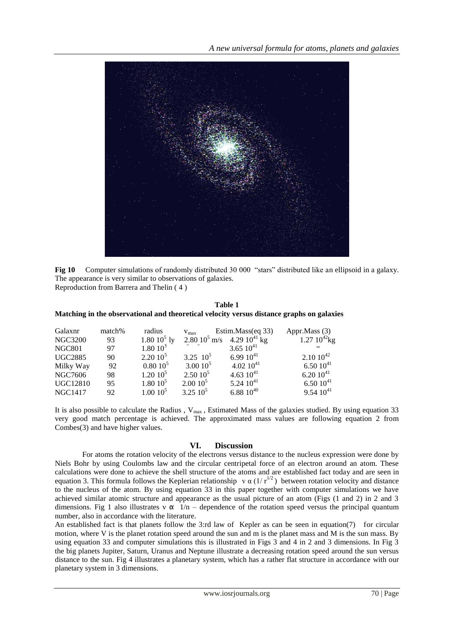

**Fig 10** Computer simulations of randomly distributed 30 000 "stars" distributed like an ellipsoid in a galaxy. The appearance is very similar to observations of galaxies. Reproduction from Barrera and Thelin ( 4 )

# **Table 1 Matching in the observational and theoretical velocity versus distance graphs on galaxies**

| Galaxnr         | match% | radius              | $V_{\text{max}}$           | Estim.Mass(eq 33) | Appr.Mass (3)     |
|-----------------|--------|---------------------|----------------------------|-------------------|-------------------|
| <b>NGC3200</b>  | 93     | $1.80\ 10^5\ ly$    | $2.80\,10^5\,\mathrm{m/s}$ | 4.29 $10^{41}$ kg | $1.27~10^{42}$ kg |
| <b>NGC801</b>   | 97     | $1.80\ 10^5$        |                            | 3.65 $10^{41}$    | cc                |
| <b>UGC2885</b>  | 90     | 2.2010 <sup>5</sup> | 3.25 $10^5$                | $6.9910^{41}$     | $2.10 10^{42}$    |
| Milky Way       | 92     | 0.8010 <sup>5</sup> | $3.0010^{5}$               | $4.0210^{41}$     | 6.50 $10^{41}$    |
| NGC7606         | 98     | $1.20\;10^5$        | 2.5010 <sup>5</sup>        | 4.63 $10^{41}$    | $6.2010^{41}$     |
| <b>UGC12810</b> | 95     | $1.80\ 10^5$        | 2.0010 <sup>5</sup>        | $5.2410^{41}$     | $6.5010^{41}$     |
| <b>NGC1417</b>  | 92     | $1.00\ 10^5$        | $3.25\ 10^5$               | 6.88 $10^{40}$    | $9.54~10^{41}$    |

It is also possible to calculate the Radius ,  $V_{max}$ , Estimated Mass of the galaxies studied. By using equation 33 very good match percentage is achieved. The approximated mass values are following equation 2 from Combes(3) and have higher values.

# **VI. Discussion**

For atoms the rotation velocity of the electrons versus distance to the nucleus expression were done by Niels Bohr by using Coulombs law and the circular centripetal force of an electron around an atom. These calculations were done to achieve the shell structure of the atoms and are established fact today and are seen in equation 3. This formula follows the Keplerian relationship v  $\alpha$  (1/ $r^{1/2}$ ) between rotation velocity and distance to the nucleus of the atom. By using equation 33 in this paper together with computer simulations we have achieved similar atomic structure and appearance as the usual picture of an atom (Figs (1 and 2) in 2 and 3 dimensions. Fig 1 also illustrates v  $\alpha$  1/n – dependence of the rotation speed versus the principal quantum number, also in accordance with the literature.

An established fact is that planets follow the 3:rd law of Kepler as can be seen in equation(7) for circular motion, where V is the planet rotation speed around the sun and m is the planet mass and M is the sun mass. By using equation 33 and computer simulations this is illustrated in Figs 3 and 4 in 2 and 3 dimensions. In Fig 3 the big planets Jupiter, Saturn, Uranus and Neptune illustrate a decreasing rotation speed around the sun versus distance to the sun. Fig 4 illustrates a planetary system, which has a rather flat structure in accordance with our planetary system in 3 dimensions.